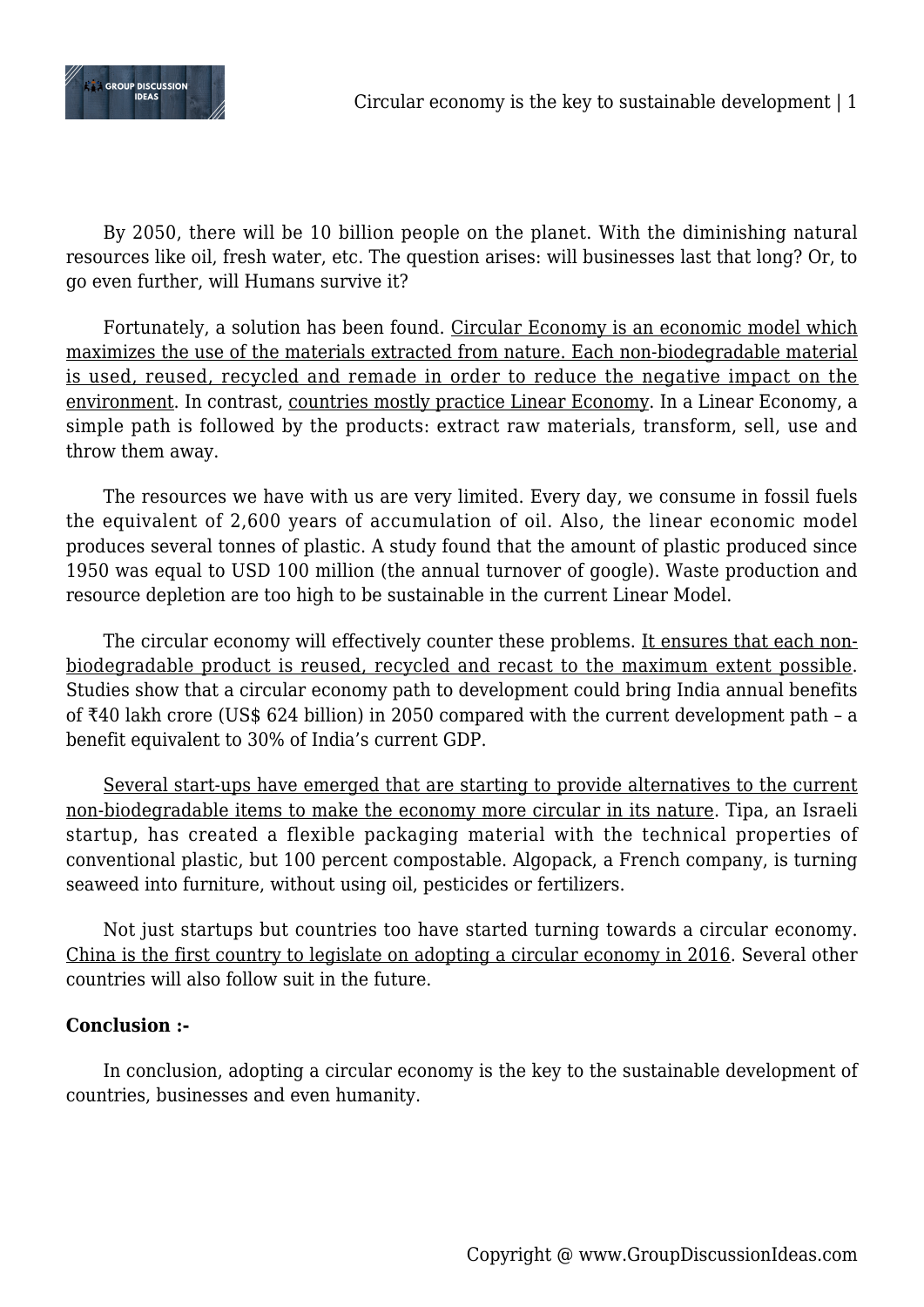

By 2050, there will be 10 billion people on the planet. With the diminishing natural resources like oil, fresh water, etc. The question arises: will businesses last that long? Or, to go even further, will Humans survive it?

Fortunately, a solution has been found. Circular Economy is an economic model which maximizes the use of the materials extracted from nature. Each non-biodegradable material is used, reused, recycled and remade in order to reduce the negative impact on the environment. In contrast, countries mostly practice Linear Economy. In a Linear Economy, a simple path is followed by the products: extract raw materials, transform, sell, use and throw them away.

The resources we have with us are very limited. Every day, we consume in fossil fuels the equivalent of 2,600 years of accumulation of oil. Also, the linear economic model produces several tonnes of plastic. A study found that the amount of plastic produced since 1950 was equal to USD 100 million (the annual turnover of google). Waste production and resource depletion are too high to be sustainable in the current Linear Model.

The circular economy will effectively counter these problems. It ensures that each nonbiodegradable product is reused, recycled and recast to the maximum extent possible. Studies show that a circular economy path to development could bring India annual benefits of ₹40 lakh crore (US\$ 624 billion) in 2050 compared with the current development path – a benefit equivalent to 30% of India's current GDP.

Several start-ups have emerged that are starting to provide alternatives to the current non-biodegradable items to make the economy more circular in its nature. Tipa, an Israeli startup, has created a flexible packaging material with the technical properties of conventional plastic, but 100 percent compostable. Algopack, a French company, is turning seaweed into furniture, without using oil, pesticides or fertilizers.

Not just startups but countries too have started turning towards a circular economy. China is the first country to legislate on adopting a circular economy in 2016. Several other countries will also follow suit in the future.

## **Conclusion :-**

In conclusion, adopting a circular economy is the key to the sustainable development of countries, businesses and even humanity.